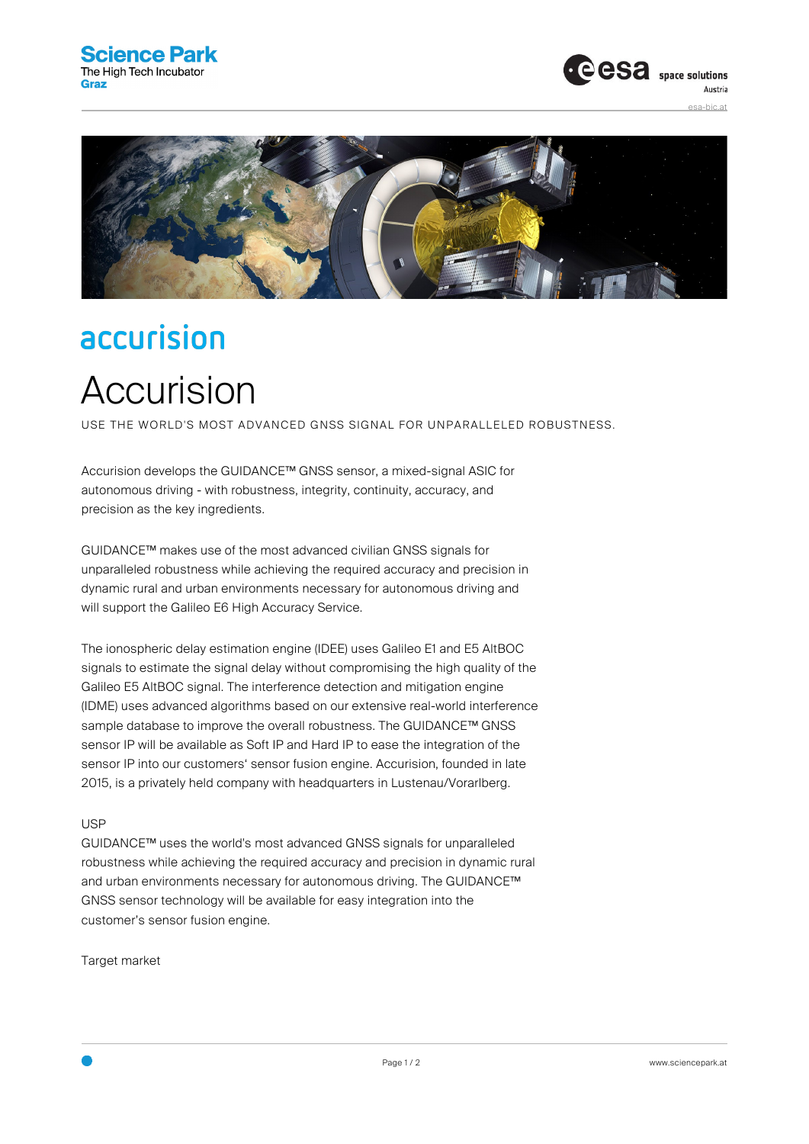



## accurision Accurision

USE THE WORLD'S MOST ADVANCED GNSS SIGNAL FOR UNPARALLELED ROBUSTNESS.

Accurision develops the GUIDANCE™ GNSS sensor, a mixed-signal ASIC for autonomous driving - with robustness, integrity, continuity, accuracy, and precision as the key ingredients.

GUIDANCE™ makes use of the most advanced civilian GNSS signals for unparalleled robustness while achieving the required accuracy and precision in dynamic rural and urban environments necessary for autonomous driving and will support the Galileo E6 High Accuracy Service.

The ionospheric delay estimation engine (IDEE) uses Galileo E1 and E5 AltBOC signals to estimate the signal delay without compromising the high quality of the Galileo E5 AltBOC signal. The interference detection and mitigation engine (IDME) uses advanced algorithms based on our extensive real-world interference sample database to improve the overall robustness. The GUIDANCE™ GNSS sensor IP will be available as Soft IP and Hard IP to ease the integration of the sensor IP into our customers' sensor fusion engine. Accurision, founded in late 2015, is a privately held company with headquarters in Lustenau/Vorarlberg.

## USP

GUIDANCE™ uses the world's most advanced GNSS signals for unparalleled robustness while achieving the required accuracy and precision in dynamic rural and urban environments necessary for autonomous driving. The GUIDANCE™ GNSS sensor technology will be available for easy integration into the customer's sensor fusion engine.

Target market